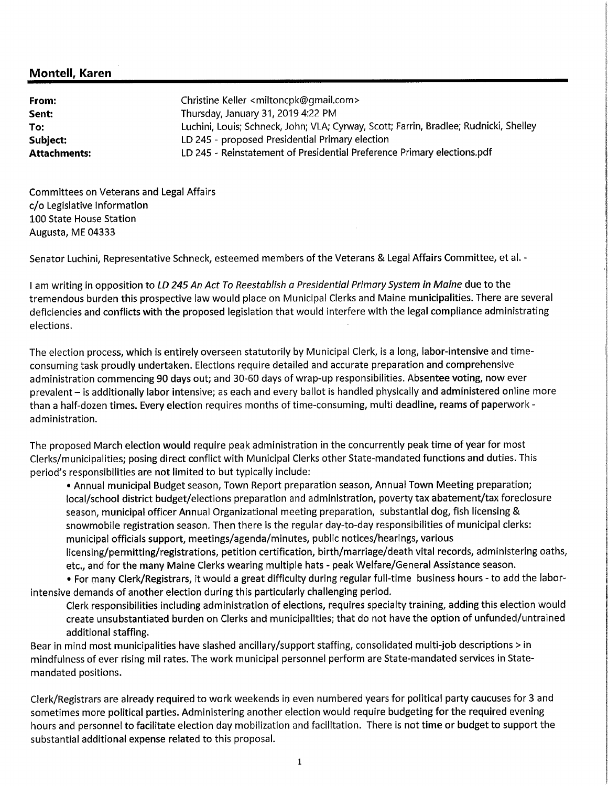## Montell, Karen

| From:               | Christine Keller <miltoncpk@gmail.com></miltoncpk@gmail.com>                          |
|---------------------|---------------------------------------------------------------------------------------|
| Sent:               | Thursday, January 31, 2019 4:22 PM                                                    |
| To:                 | Luchini, Louis; Schneck, John; VLA; Cyrway, Scott; Farrin, Bradlee; Rudnicki, Shelley |
| Subject:            | LD 245 - proposed Presidential Primary election                                       |
| <b>Attachments:</b> | LD 245 - Reinstatement of Presidential Preference Primary elections.pdf               |

Committees on Veterans and Legal Affairs c/o Legislative Information 100 State House Station Augusta, ME 04333

Senator Luchini, Representative Schneck, esteemed members of the Veterans & Legal Affairs Committee, et al. -

I am writing in opposition to LD 245 An Act To Reestablish a Presidential Primary System in Maine due to the tremendous burden this prospective law would place on Municipal Clerks and Maine municipalities. There are several deficiencies and conflicts with the proposed legislation that would interfere with the legal compliance administrating elections.

The election process, which is entirely overseen statutorily by Municipal Clerk, is a long, labor-intensive and timeconsuming task proudly undertaken. Elections require detailed and accurate preparation and comprehensive administration commencing 90 days out; and 30-60 days of wrap-up responsibilities. Absentee voting, now ever prevalent - is additionally labor intensive; as each and every ballot is handled physically and administered online more than a half-dozen times. Every election requires months of time-consuming, multi deadline, reams of paperwork administration.

и.

ii ii

ii

E

i

i

The proposed March election would require peak administration in the concurrently peak time of year for most Clerks/municipalities; posing direct conflict with Municipal Clerks other State-mandated functions and duties. This period's responsibilities are not limited to but typically include:

- Annual municipal Budget season, Town Report preparation season, Annual Town Meeting preparation; local/school district budget/elections preparation and administration, poverty tax abatement/tax foreclosure season, municipal officer Annual Organizational meeting preparation, substantial dog, fish licensing & snowmobile registration season. Then there is the regular day-to-day responsibilities of municipal clerks: municipal officials support, meetings/agenda/minutes, public notices/hearings, various Iicensing/permitting/registrations, petition certification, birth/marriage/death vital records, administering oaths,

etc., and for the many Maine Clerks wearing multiple hats - peak Welfare/General Assistance season. <sup>~</sup>For many Clerk/Registrars, it would a great difficulty during regular full-time business hours - to add the laborintensive demands of another election during this particularly challenging period.

Clerk responsibilities including administration of elections, requires specialty training, adding this election would create unsubstantiated burden on Clerks and municipalities; that do not have the option of unfunded/untrained additional staffing.

Bear in mind most municipalities have slashed ancillary/support staffing, consolidated multi-job descriptions > in mindfulness of ever rising mil rates. The work municipal personnel perform are State-mandated services in Statemandated positions.

Clerk/Registrars are already required to work weekends in even numbered years for political party caucuses for 3 and sometimes more political parties. Administering another election would require budgeting for the required evening hours and personnel to facilitate election day mobilization and facilitation. There is not time or budget to support the substantial additional expense related to this proposal.